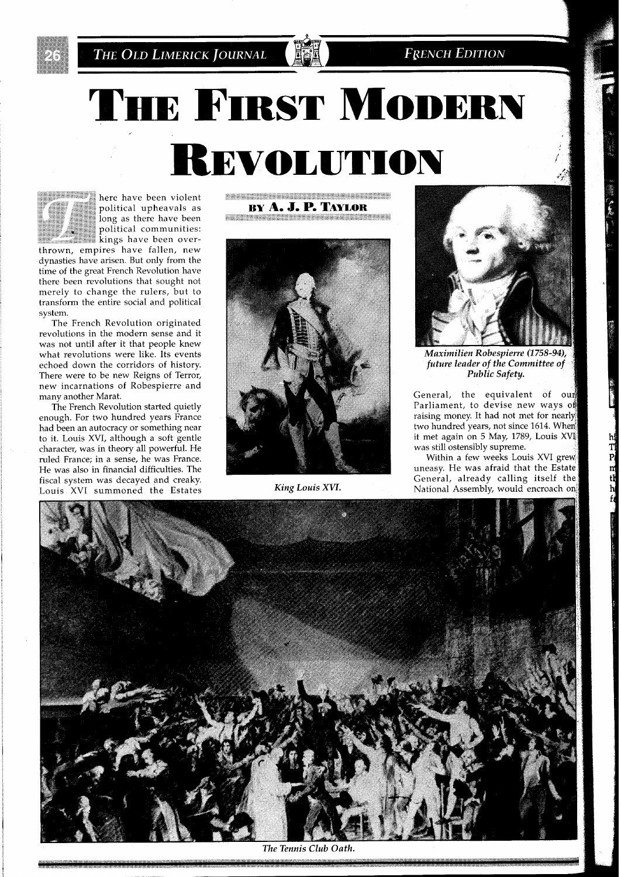

**FRENCH EDITION** 

# THE FIRST MODERN REVOLUTION



here have been violent olitical upheavals as long as there have been political communities: kings have been over-

thrown, empires have fallen, new dynasties have arisen. But only from the time of the great French Revolution have there been revolutions that sought not merely to change the rulers, but to transform the entire social and political system.

The French Revolution originated revolutions in the modern sense and it was not until after it that people knew what revolutions were like. Its events echoed down the corridors of history. There were to be new Reigns of Terror, new incarnations of Robespierre and many another Marat.

The French Revolution started quietly enough. For two hundred years France had been an autocracy or something near to it. Louis XVI, although a soft gentle character, was in theory all powerful. He ruled France; in a sense, he was France. He was also in financial difficulties. The fiscal system was decayed and creaky. Louis XVI summoned the Estates *King Louis* **XVI.** 

**MARKETING PRESENTATION AND RESISTIV** BY A. J. P. TAYLOR **COMMERCIAL COMMERCIAL CONTRACT** 





*Maximilien Robespierre* (1758-94), *future leader of the Committee Public Safety.* 

General, the equivalent of Parliament, to devise new ways of raising money. It had not met for nearly two hundred years, not since 1614. it met again on 5 May, 1789, Louis XVI was still ostensibly supreme.

Within a few weeks Louis XVI grew uneasy. He was afraid that the Est General, already calling itself the National Assembly, would encroach on



The Tennis Club Oath.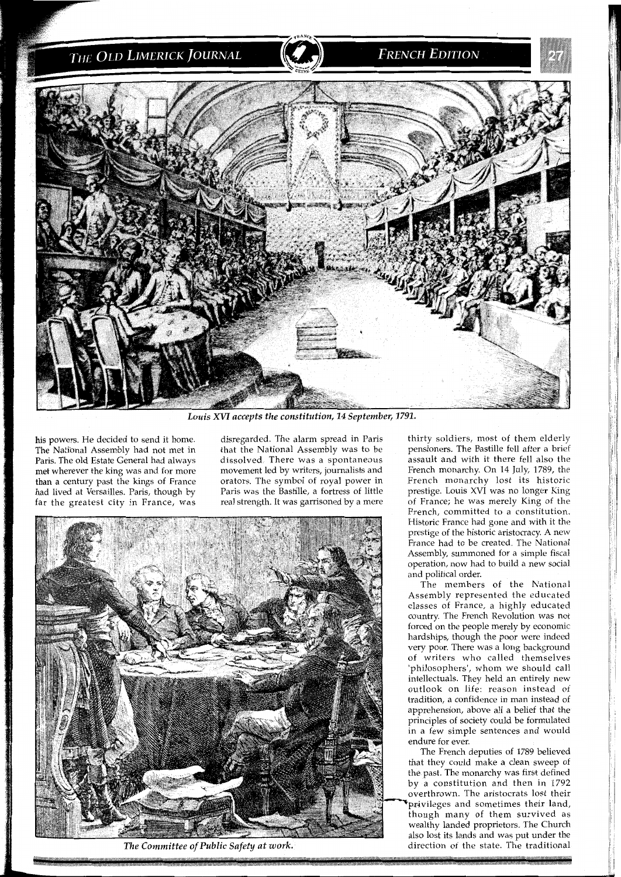

#### **FRENCH EDITION**



*Louis XVI accepts the constitution,* 14 *September, 1791.* 

far the greatest city in France, was real strength. It was garrisoned by a mere

his powers. He decided to send it home. disregarded. The alarm spread in Paris The National Assembly had not met in that the National Assembly was to be Paris. The old Estate General had always dissolved. There was a spontaneous met wherever the king was and for more movement led by writers, journalists and than a century past the kings of France orators. The symbol of royal power in had lived at Versailles. Paris, though by Paris was the Bastille, a fortress of little



*The Committee of Public Safety at work.* 

thirty soldiers, most of them elderly pensioners. The Bastille fell after a brief assault and with it there fell also the French monarchy. On 14 July, 1789, the French monarchy lost its historic prestige. Louis XVI was no longer King of France; he was merely King of the French, committed to a constitution. Historic France had gone and with it the prestige of the historic aristocracy. A new France had to be created. The National Assembly, summoned for a simple fiscal operation, now had to build a new social and political order.

The members of the National Assembly represented the educated classes of France, a highly educated country. The French Revolution was not forced on the people merely by economic hardships, though the poor were indeed very poor. There was a long background of writers who called themselves 'philosophers', whom we should call intellectuals. They held an entirely new outlook on life: reason instead of tradition, a confidence in man instead of apprehension, above all a belief that the principles of society could be formulated in a few simple sentences and would endure for ever.

The French deputies of 1789 believed that they could make a clean sweep of the past. The monarchy was first defined bv a constitution and then in 1792 overthrown. The aristocrats lost their 'privileges and sometimes their land, though many of them survived as wealthy landed proprietors. The Church also lost its lands and was put under the direction of the state. The traditional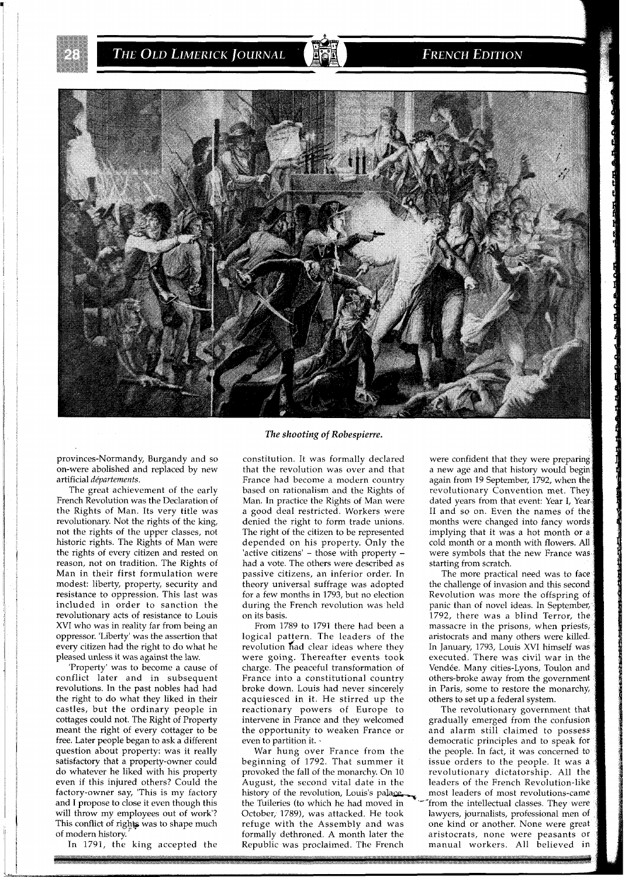#### **FRENCH EDITION**



#### The shooting of Robespierre.

provinces-Normandy, Burgandy and so on-were abolished and replaced by new artificial départements.

The great achievement of the early French Revolution was the Declaration of the Rights of Man. Its very title was revolutionary. Not the rights of the king, not the rights of the upper classes, not historic rights. The Rights of Man were the rights of every citizen and rested on reason, not on tradition. The Rights of Man in their first formulation were modest: liberty, property, security and resistance to oppression. This last was included in order to sanction the revolutionary acts of resistance to Louis XVI who was in reality far from being an oppressor. 'Liberty' was the assertion that every citizen had the right to do what he pleased unless it was against the law.

'Property' was to become a cause of conflict later and in subsequent revolutions. In the past nobles had had the right to do what they liked in their castles, but the ordinary people in cottages could not. The Right of Property meant the right of every cottager to be free. Later people began to ask a different question about property: was it really satisfactory that a property-owner could do whatever he liked with his property even if this injured others? Could the factory-owner say, 'This is my factory and I propose to close it even though this will throw my employees out of work'? This conflict of righg was to shape much of modern history.'

In 1791, the king accepted the

constitution. It was formally declared that the revolution was over and that France had become a modern country based on rationalism and the Rights of Man. In practice the Rights of Man were a good deal restricted. Workers were denied the right to form trade unions. The right of the citizen to be represented depended on his property. Only the 'active citizens' - those with property had a vote. The others were described as passive citizens, an inferior order. In theory universal suffrage was adopted for a few months in 1793, but no election during the French revolution was held on its basis.

From 1789 to 1791 there had been a logical pattern. The leaders of the revolution had clear ideas where they were going. Thereafter events took charge. The peaceful transformation of France into a constitutional country broke down. Louis had never sincerely acquiesced in it. He stirred up the reactionary powers of Europe to intervene in France and they welcomed the opportunity to weaken France or even to partition it. -

War hung over France from the beginning of 1792. That summer it provoked the fall of the monarchy. On 10 August, the second vital date in the history of the revolution, Louis's palace. the Tuileries (to which he had moved in  $\sqrt{\frac{m}{m}}$  from the intellectual classes. They were October, 1789), was attacked. He took lawyers, journalists, professional men of refuge with the Assembly and was one kind or another. None were great formally dethroned. A month later the aristocrats, none were peasants or Republic was proclaimed. The French manual workers. All believed in

were confident that they were preparing a new age and that history would begin again from 19 September, 1792, when the revolutionary Convention met. They dated years from that event: Year I, Year II and so on. Even the names of the months were changed into fancy words implying that it was a hot month or a cold month or a month with flowers. All were symbols that the new France was starting from scratch.

The more practical need was to face the challenge of invasion and this second Revolution was more the offspring of panic than of novel ideas. In September, 1792, there was a blind Terror, the massacre in the prisons, when priests, aristocrats and many others were killed. In January, 1793, Louis XVI himself was executed. There was civil war in the Vendée. Many cities-Lyons, Toulon and others-broke away from the government in Paris, some to restore the monarchy, others to set up a federal system.

The revolutionary government that gradually emerged from the confus and alarm still claimed to possess democratic principles and to speak for the people. In fact, it was concerned t issue orders to the people. It was revolutionary dictatorship. All th leaders of the French Revolution-like most leaders of most revolutions-cam lawyers, journalists, professional men of aristocrats, none were peasants or